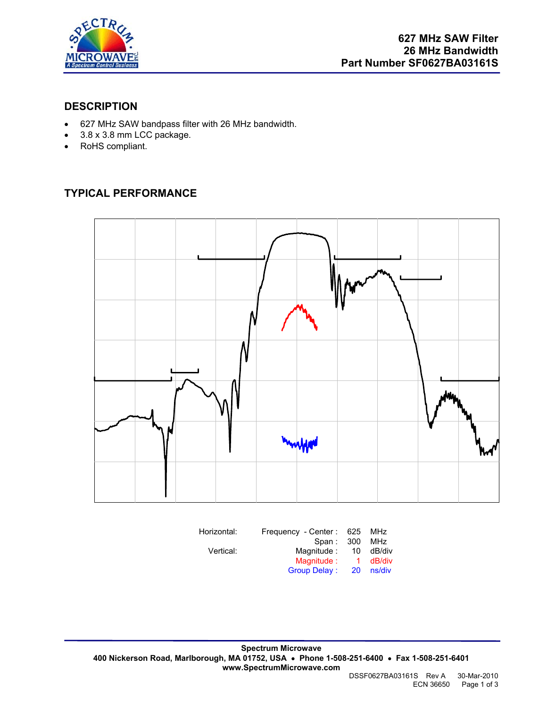

#### **DESCRIPTION**

- 627 MHz SAW bandpass filter with 26 MHz bandwidth.
- 3.8 x 3.8 mm LCC package.
- RoHS compliant.

# **TYPICAL PERFORMANCE**



| Horizontal: | Frequency - Center: 625 |      | MHz    |
|-------------|-------------------------|------|--------|
|             | Span:                   | -300 | MHz    |
| Vertical:   | Magnitude:              | 10   | dB/div |
|             | Magnitude:              | 1.   | dB/div |
|             | Group Delay:            | 20   | ns/div |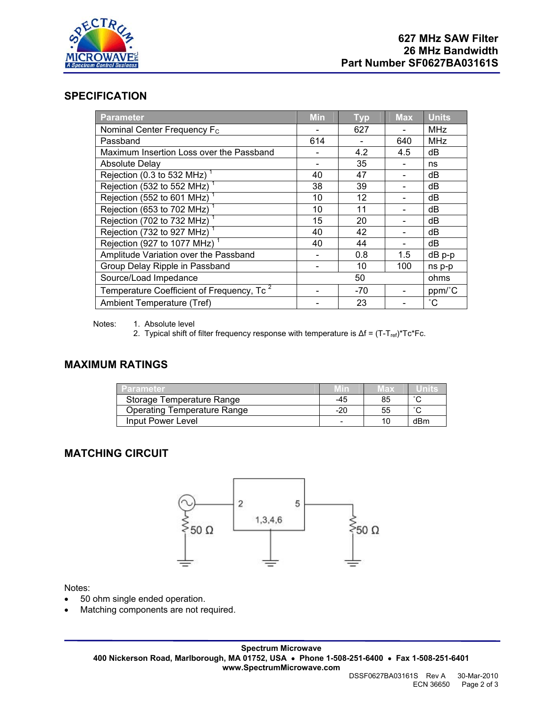

#### **SPECIFICATION**

| Parameter                                             | <b>Min</b> | <b>Typ</b> | <b>Max</b> | <b>Units</b>    |
|-------------------------------------------------------|------------|------------|------------|-----------------|
| Nominal Center Frequency F <sub>c</sub>               |            | 627        |            | <b>MHz</b>      |
| Passband                                              | 614        |            | 640        | <b>MHz</b>      |
| Maximum Insertion Loss over the Passband              |            | 4.2        | 4.5        | dB              |
| <b>Absolute Delay</b>                                 |            | 35         |            | ns              |
| Rejection (0.3 to 532 MHz)                            | 40         | 47         |            | dB              |
| Rejection (532 to 552 MHz) <sup>1</sup>               | 38         | 39         |            | dB              |
| Rejection (552 to 601 MHz) <sup>1</sup>               | 10         | 12         |            | dB              |
| Rejection (653 to 702 MHz)                            | 10         | 11         |            | dB              |
| Rejection (702 to 732 MHz)                            | 15         | 20         |            | dB              |
| Rejection (732 to 927 MHz)                            | 40         | 42         |            | dB              |
| Rejection (927 to 1077 MHz) <sup>1</sup>              | 40         | 44         |            | dB              |
| Amplitude Variation over the Passband                 |            | 0.8        | 1.5        | $dB$ p-p        |
| Group Delay Ripple in Passband                        |            | 10         | 100        | ns p-p          |
| Source/Load Impedance                                 |            | 50         |            | ohms            |
| Temperature Coefficient of Frequency, Tc <sup>2</sup> |            | $-70$      |            | ppm/°C          |
| Ambient Temperature (Tref)                            |            | 23         |            | $\rm ^{\circ}C$ |

Notes: 1. Absolute level

2. Typical shift of filter frequency response with temperature is  $\Delta f = (T-T_{ref})^*Tc^*Fc$ .

#### **MAXIMUM RATINGS**

| ⊟Parameter.                 |     | wax | ' "The |
|-----------------------------|-----|-----|--------|
| Storage Temperature Range   | -45 | 85  | $\sim$ |
| Operating Temperature Range | -20 | 55  | $\sim$ |
| Input Power Level           |     |     | dBm    |

## **MATCHING CIRCUIT**



Notes:

- 50 ohm single ended operation.
- Matching components are not required.